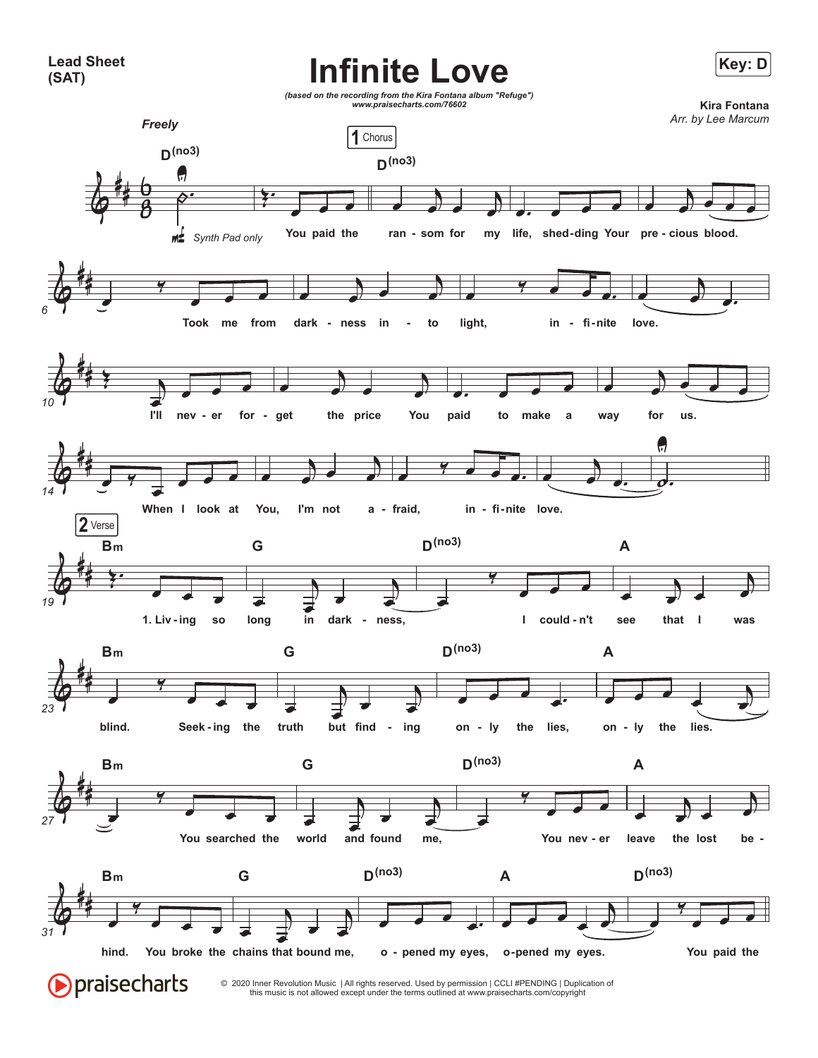**Lead Sheet (SAT)**

## **Infinite Love**



this music is not allowed except under the terms outlined at www.praisecharts.com/copyright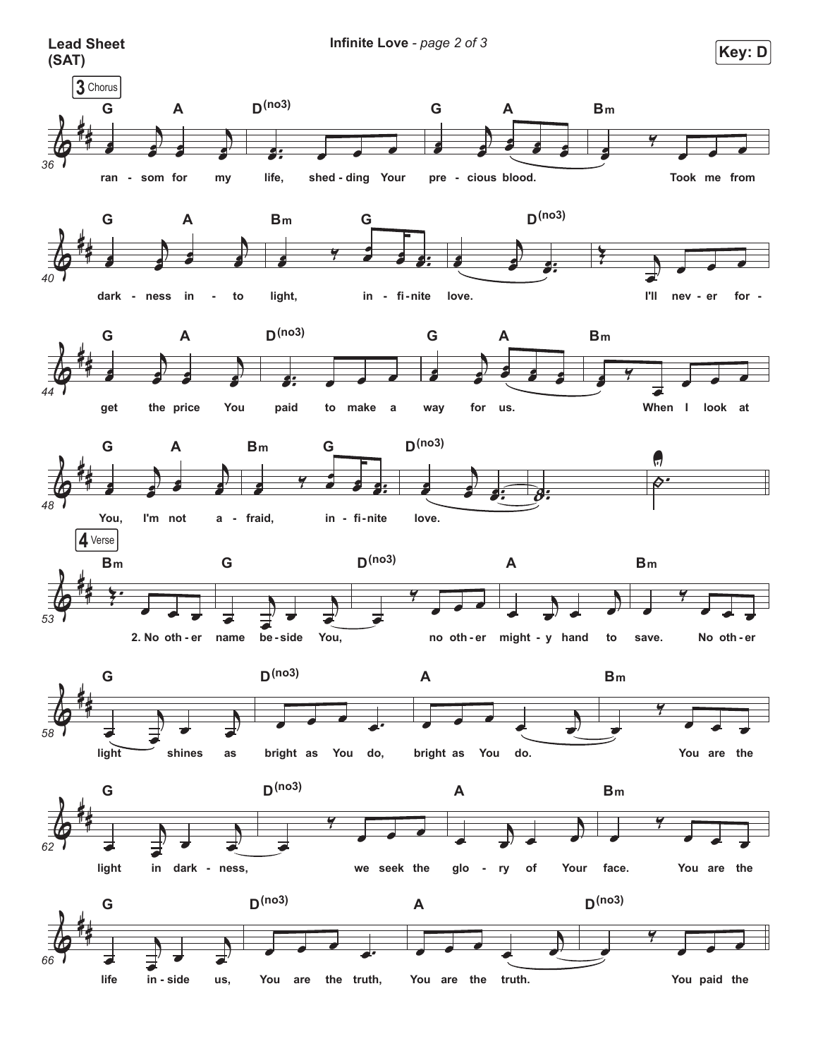